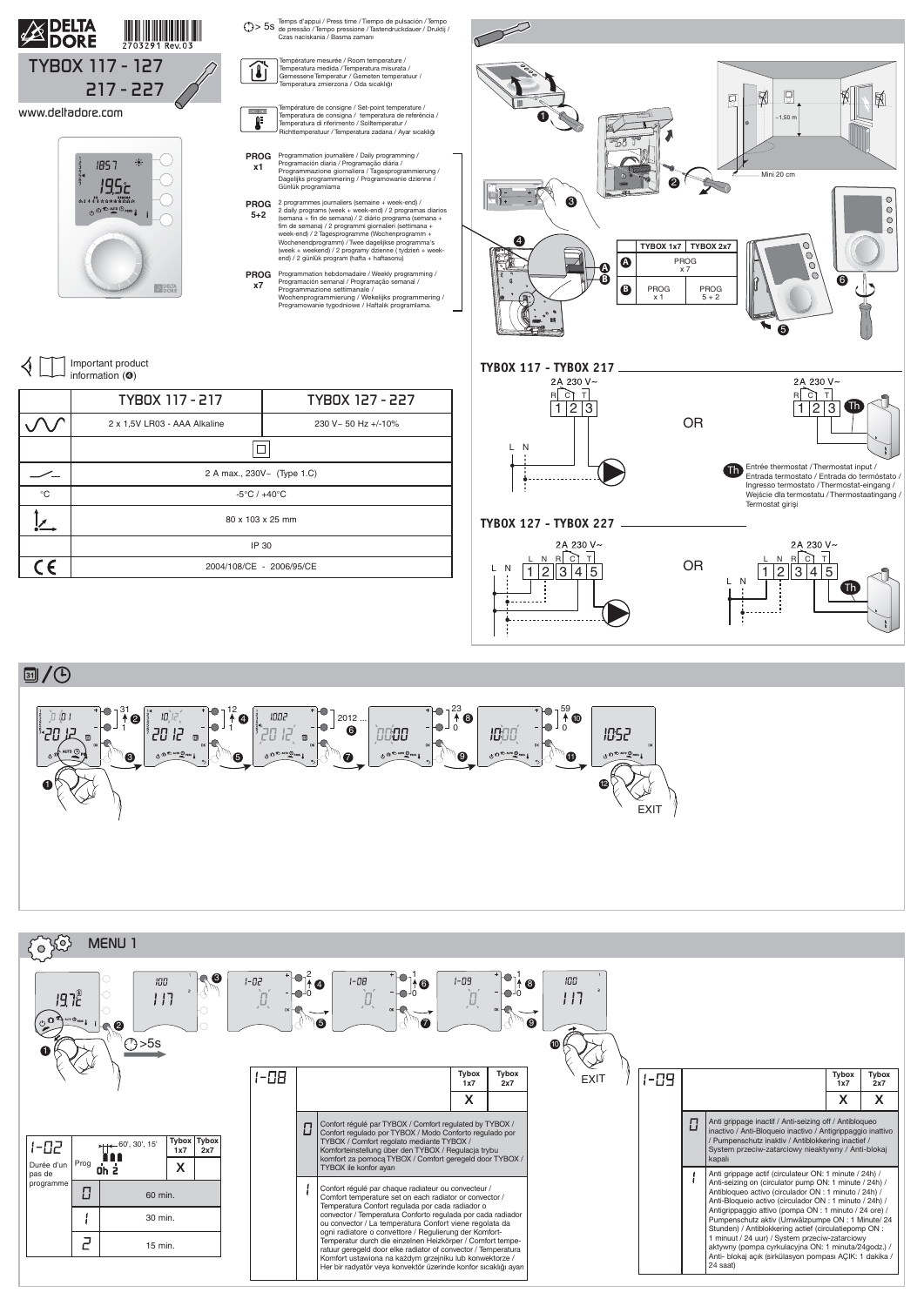

## **3/0**





|             | TYBOX 117 - 217                  | TYBOX 127 - 227     |  |  |
|-------------|----------------------------------|---------------------|--|--|
|             | 2 x 1,5V LR03 - AAA Alkaline     | 230 V~ 50 Hz +/-10% |  |  |
|             |                                  |                     |  |  |
|             | 2 A max., 230V~ (Type 1.C)       |                     |  |  |
| $^{\circ}C$ | $-5^{\circ}$ C / $+40^{\circ}$ C |                     |  |  |
|             | 80 x 103 x 25 mm                 |                     |  |  |
|             | IP 30                            |                     |  |  |
| $\epsilon$  | 2004/108/CE - 2006/95/CE         |                     |  |  |
|             |                                  |                     |  |  |

Important product ◁ information (➍)

mpérature de consigne / Set-point temperature /  $\sim$   $\sim$ Temperatura de consigna / temperatura de referência / Temperatura di riferimento / Solltemperatur / ₽ Richttemperatuur / Temperatura zadana / Ayar sıcaklığı





**PROG** Programmation journalière / Daily programming / Programación diaria / Programação diária / Programmazione giornaliera / Tagesprogrammierung / Dagelijks programmering / Programowanie dzienne / Günlük programlama **x1**

**PROG** Programmation hebdomadaire / Weekly programming / Programación semanal / Programação semanal / Programmazione settimanale / Wochenprogrammierung / Wekelijks programmering / Programowanie tygodniowe / Haftalık programlama. **x7**



Température mesurée / Room temperature / **TU** Temperatura medida / Temperatura misurata / Gemessene Temperatur / Gemeten temperatuur /

Temperatura zmierzona / Oda sıcaklığı

2 programmes journaliers (semaine + week-end) / 2 daily programs (week + week-end) / 2 programas diarios (semana + fin de semana) / 2 diário programa (semana +<br>fim de semana) / 2 programmi giornalieri (settimana +<br>week-end) / 2 Tagesprogramme (Wochenprogramm +<br>Wochenendprogramm) / Twee dagelijkse programma's<br>(week + weekend) end) / 2 günlük program (hafta + haftasonu) **PROG 5+2**